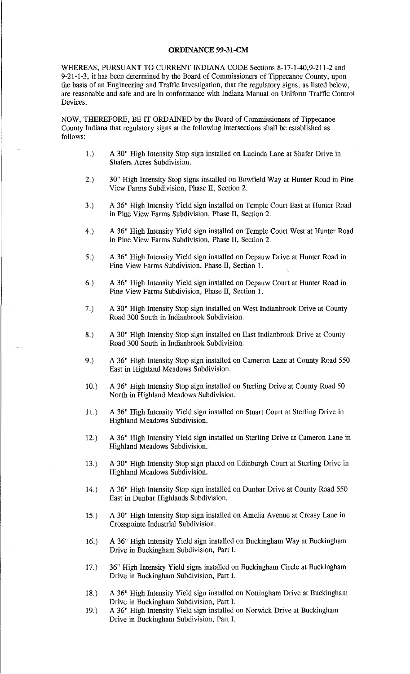## **ORDINANCE 99-31-CM**

WHEREAS, PURSUANT TO CURRENT INDIANA CODE Sections 8-17-1-40,9-211-2 and 9-21-1-3, it has been determined by the Board of Commissioners of Tippecanoe County, upon the basis of an Engineering and Traffic Investigation, that the regulatory signs, as listed below, are reasonable and safe and are in conformance with Indiana Manual on Uniform Traffic Control Devices.

NOW, THEREFORE, BE **IT** ORDAINED by the Board of Commissioners of Tippecanoe County Indiana that regulatory signs at the following intersections shall be established as follows:

- 1.) A 30" High Intensity Stop sign installed on Lucinda Lane at Shafer Drive in Shafers Acres Subdivision.
- 2.) 30" High Intensity Stop signs installed on Bowfield Way at Hunter Road in Pine View Farms Subdivision, Phase II, Section 2.
- 3.) A 36" High Intensity Yield sign installed on Temple Court East at Hunter Road in Pine View Farms Subdivision, Phase II, Section 2.
- 4.) A 36" High Intensity Yield sign installed on Temple Court West at Hunter Road in Pine View Farms Subdivision, Phase II, Section 2.
- 5.) A 36" High Intensity Yield sign installed on Depauw Drive at Hunter Road in Pine View Farms Subdivision, Phase II, Section 1.
- 6.) A 36" High Intensity Yield sign installed on Depauw Court at Hunter Road in Pine View Farms Subdivision, Phase II, Section 1.
- 7.) A 30" High Intensity Stop sign installed on West Indianbrook Drive at County Road 300 South in Indianbrook Subdivision.
- 8.) A 30" High Intensity Stop sign installed on East Indianbrook Drive at County Road 300 South in Indianbrook Subdivision.
- 9.) A 36" High Intensity Stop sign installed on Cameron Lane at County Road 550 East in Highland Meadows Subdivision.
- 10.) A 36" High Intensity Stop sign installed on Sterling Drive at County Road 50 North in Highland Meadows Subdivision.
- 11.) A 36" High Intensity Yield sign installed on Stuart Court at Sterling Drive in Highland Meadows Subdivision.
- 12.) A 36" High Intensity Yield sign installed on Sterling Drive at Cameron Lane in Highland Meadows Subdivision.
- 13.) A 30" High Intensity Stop sign placed on Edinburgh Court at Sterling Drive in Highland Meadows Subdivision.
- 14.) A 36" High Intensity Stop sign installed on Dunbar Drive at County Road 550 East in Dunbar Highlands Subdivision.
- 15.) A 30" High Intensity Stop sign installed on Amelia Avenue at Creasy Lane in Crosspointe Industrial Subdivision.
- 16.) A 36" High Intensity Yield sign installed on Buckingham Way at Buckingham Drive in Buckingham Subdivision, Part I.
- 17.) 36" High Intensity Yield signs installed on Buckingham Circle at Buckingham Drive in Buckingham Subdivision, Part I.
- 18.) A 36" High Intensity Yield sign installed on Nottingham Drive at Buckingham Drive in Buckingham Subdivision, Part I.
- 19.) A 36" High Intensity Yield sign installed on Norwick Drive at Buckingham Drive in Buckingham Subdivision, Part I.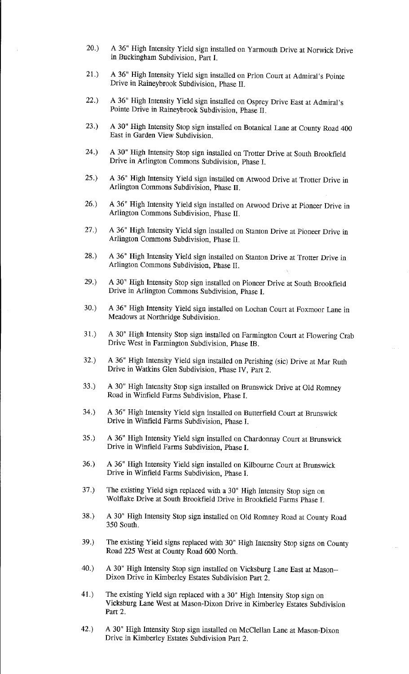- 20.) A 36" High Intensity Yield sign installed on Yarmouth Drive at Norwick Drive in Buckingham Subdivision, Part I.
- 21.) A 36" High Intensity Yield sign installed on Prion Court at Admiral's Pointe Drive in Raineybrook Subdivision, Phase II.
- 22.) A 36" High Intensity Yield sign installed on Osprey Drive East at Admiral's Pointe Drive in Raineybrook Subdivision, Phase II.
- 23.) A 30" High Intensity Stop sign installed on Botanical Lane at County Road 400 East in Garden View Subdivision.
- 24.) A 30" High Intensity Stop sign installed on Trotter Drive at South Brookfield Drive in Arlington Commons Subdivision, Phase I.
- 25.) A 36" High Intensity Yield sign installed on Atwood Drive at Trotter Drive in Arlington Commons Subdivision, Phase II.
- 26.) A 36" High Intensity Yield sign installed on Atwood Drive at Pioneer Drive in Arlington Commons Subdivision, Phase II.
- 27.) A 36" High Intensity Yield sign installed on Stanton Drive at Pioneer Drive in Arlington Commons Subdivision, Phase II.
- 28.) A 36" High Intensity Yield sign installed on Stanton Drive at Trotter Drive in Arlington Commons Subdivision, Phase II.
- 29.) A 30" High Intensity Stop sign installed on Pioneer Drive at South Brookfield Drive in Arlington Commons Subdivision, Phase I.
- 30.) A 36" High Intensity Yield sign installed on Lochan Court at Foxmoor Lane in Meadows at Northridge Subdivision.
- 31.) A 30" High Intensity Stop sign installed on Farmington Court at Flowering Crab Drive West in Farmington Subdivision, Phase IB.
- 32.) A 36" High Intensity Yield sign installed on Perishing (sic) Drive at Mar Ruth Drive in Watkins Glen Subdivision, Phase IV, Part 2.
- 33.) A 30" High Intensity Stop sign installed on Brunswick Drive at Old Romney Road in Winfield Farms Subdivision, Phase I.
- 34.) A 36" High Intensity Yield sign installed on Butterfield Court at Brunswick Drive in Winfield Farms Subdivision, Phase I.
- 35.) A 36" High Intensity Yield sign installed on Chardonnay Court at Brunswick Drive in Winfield Farms Subdivision, Phase I.
- 36.) A 36" High Intensity Yield sign installed on Kilbourne Court at Brunswick Drive in Winfield Farms Subdivision, Phase I.
- 37.) The existing Yield sign replaced with a 30" High Intensity Stop sign on Wolflake Drive at South Brookfield Drive in Brookfield Farms Phase I.
- 38.) A 30" High Intensity Stop sign installed on Old Romney Road at County Road 350 South.
- 39.) The existing Yield signs replaced with 30" High Intensity Stop signs on County Road 225 West at County Road 600 North.
- 40.) A 30" High Intensity Stop sign installed on Vicksburg Lane East at Mason-- Dixon Drive in Kimberley Estates Subdivision Part 2.
- 41.) The existing Yield sign replaced with a 30" High Intensity Stop sign on Vicksburg Lane West at Mason-Dixon Drive in Kimberley Estates Subdivision Part 2.
- 42.) A 30" High Intensity Stop sign installed on McClellan Lane at Mason-Dixon Drive in Kimberley Estates Subdivision Part 2.